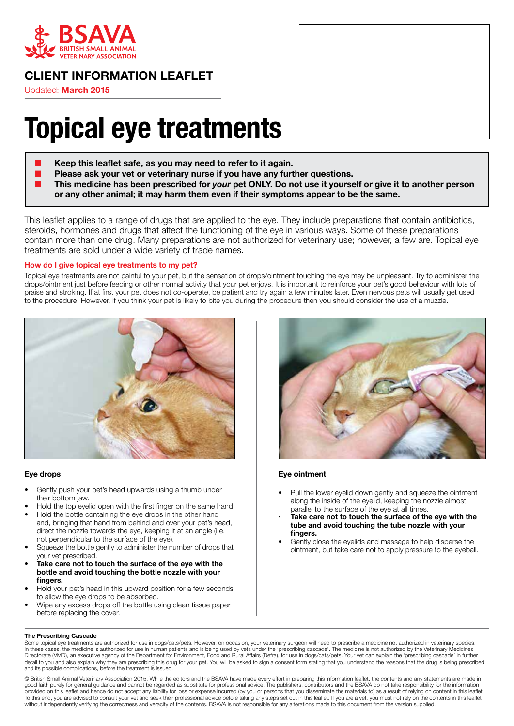

# **CLIENT INFORMATION LEAFLET**

Updated: **March 2015**

# **Topical eye treatments**

- Keep this leaflet safe, as you may need to refer to it again.
- Please ask your vet or veterinary nurse if you have any further questions.
- **This medicine has been prescribed for** *your* **pet ONLY. Do not use it yourself or give it to another person or any other animal; it may harm them even if their symptoms appear to be the same.**

This leaflet applies to a range of drugs that are applied to the eye. They include preparations that contain antibiotics, steroids, hormones and drugs that affect the functioning of the eye in various ways. Some of these preparations contain more than one drug. Many preparations are not authorized for veterinary use; however, a few are. Topical eye treatments are sold under a wide variety of trade names.

## **How do I give topical eye treatments to my pet?**

Topical eye treatments are not painful to your pet, but the sensation of drops/ointment touching the eye may be unpleasant. Try to administer the drops/ointment just before feeding or other normal activity that your pet enjoys. It is important to reinforce your pet's good behaviour with lots of praise and stroking. If at first your pet does not co-operate, be patient and try again a few minutes later. Even nervous pets will usually get used to the procedure. However, if you think your pet is likely to bite you during the procedure then you should consider the use of a muzzle.



#### **Eye drops**

- Gently push your pet's head upwards using a thumb under their bottom jaw.
- Hold the top eyelid open with the first finger on the same hand.
- Hold the bottle containing the eye drops in the other hand and, bringing that hand from behind and over your pet's head, direct the nozzle towards the eye, keeping it at an angle (i.e. not perpendicular to the surface of the eye).
- Squeeze the bottle gently to administer the number of drops that your vet prescribed.
- **Take care not to touch the surface of the eye with the bottle and avoid touching the bottle nozzle with your fingers.**
- Hold your pet's head in this upward position for a few seconds to allow the eye drops to be absorbed.
- Wipe any excess drops off the bottle using clean tissue paper before replacing the cover.



#### **Eye ointment**

- Pull the lower eyelid down gently and squeeze the ointment along the inside of the eyelid, keeping the nozzle almost parallel to the surface of the eye at all times.
- Take care not to touch the surface of the eye with the **tube and avoid touching the tube nozzle with your fingers.**
- Gently close the eyelids and massage to help disperse the ointment, but take care not to apply pressure to the eyeball.

#### **The Prescribing Cascade**

Some topical eye treatments are authorized for use in dogs/cats/pets. However, on occasion, your veterinary surgeon will need to prescribe a medicine not authorized in veterinary species. In these cases, the medicine is authorized for use in human patients and is being used by vets under the 'prescribing cascade'. The medicine is not authorized by the Veterinary Medicines Directorate (VMD), an executive agency of the Department for Environment, Food and Rural Affairs (Defra), for use in dogs/cats/pets. Your vet can explain the 'prescribing cascade' in further detail to you and also explain why they are prescribing this drug for your pet. You will be asked to sign a consent form stating that you understand the reasons that the drug is being prescribed and its possible complications, before the treatment is issued.

© British Small Animal Veterinary Association 2015. While the editors and the BSAVA have made every effort in preparing this information leaflet, the contents and any statements are made in good faith purely for general guidance and cannot be regarded as substitute for professional advice. The publishers, contributors and the BSAVA do not take responsibility for the information provided on this leaflet and hence do not accept any liability for loss or expense incurred (by you or persons that you disseminate the materials to) as a result of relying on content in this leaflet. To this end, you are advised to consult your vet and seek their professional advice before taking any steps set out in this leaflet. If you are a vet, you must not rely on the contents in this leaflet without independently verifying the correctness and veracity of the contents. BSAVA is not responsible for any alterations made to this document from the version supplied.